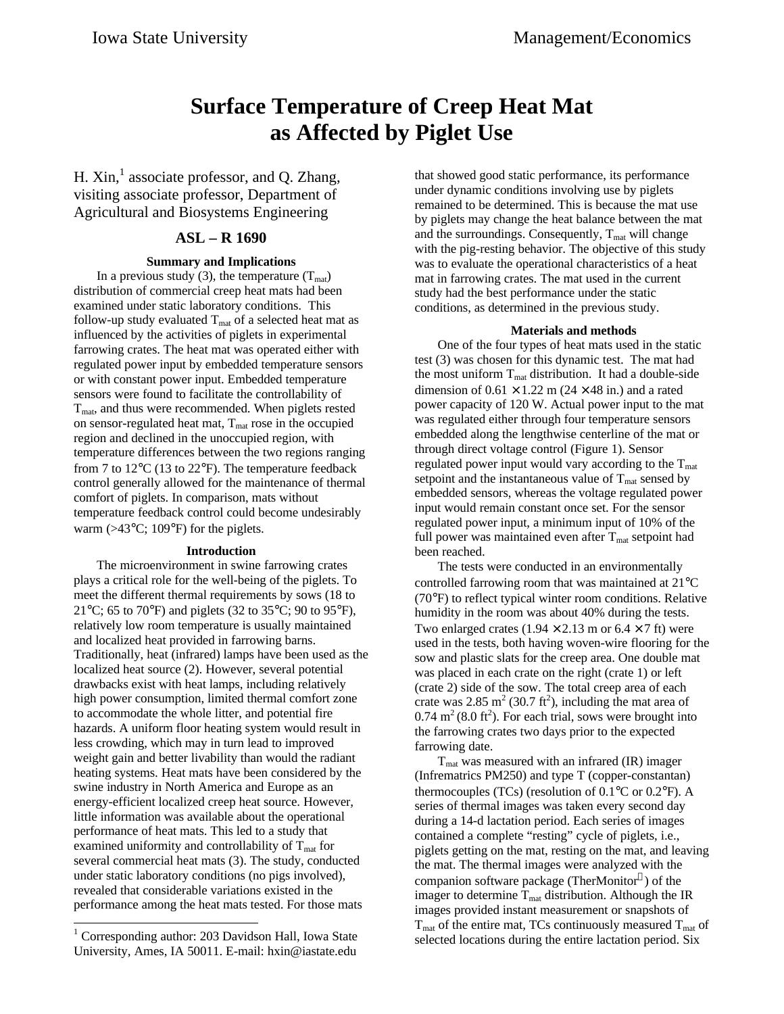# **Surface Temperature of Creep Heat Mat as Affected by Piglet Use**

H.  $Xin,$ <sup>1</sup> associate professor, and Q. Zhang, visiting associate professor, Department of Agricultural and Biosystems Engineering

# **ASL – R 1690**

## **Summary and Implications**

In a previous study (3), the temperature  $(T<sub>mat</sub>)$ distribution of commercial creep heat mats had been examined under static laboratory conditions. This follow-up study evaluated  $T_{\text{mat}}$  of a selected heat mat as influenced by the activities of piglets in experimental farrowing crates. The heat mat was operated either with regulated power input by embedded temperature sensors or with constant power input. Embedded temperature sensors were found to facilitate the controllability of  $T<sub>mat</sub>$ , and thus were recommended. When piglets rested on sensor-regulated heat mat,  $T_{\text{mat}}$  rose in the occupied region and declined in the unoccupied region, with temperature differences between the two regions ranging from 7 to 12°C (13 to 22°F). The temperature feedback control generally allowed for the maintenance of thermal comfort of piglets. In comparison, mats without temperature feedback control could become undesirably warm (>43°C; 109°F) for the piglets.

#### **Introduction**

The microenvironment in swine farrowing crates plays a critical role for the well-being of the piglets. To meet the different thermal requirements by sows (18 to 21 $^{\circ}$ C; 65 to 70 $^{\circ}$ F) and piglets (32 to 35 $^{\circ}$ C; 90 to 95 $^{\circ}$ F), relatively low room temperature is usually maintained and localized heat provided in farrowing barns. Traditionally, heat (infrared) lamps have been used as the localized heat source (2). However, several potential drawbacks exist with heat lamps, including relatively high power consumption, limited thermal comfort zone to accommodate the whole litter, and potential fire hazards. A uniform floor heating system would result in less crowding, which may in turn lead to improved weight gain and better livability than would the radiant heating systems. Heat mats have been considered by the swine industry in North America and Europe as an energy-efficient localized creep heat source. However, little information was available about the operational performance of heat mats. This led to a study that examined uniformity and controllability of  $T<sub>mat</sub>$  for several commercial heat mats (3). The study, conducted under static laboratory conditions (no pigs involved), revealed that considerable variations existed in the performance among the heat mats tested. For those mats

-<sup>1</sup> Corresponding author: 203 Davidson Hall, Iowa State University, Ames, IA 50011. E-mail: hxin@iastate.edu that showed good static performance, its performance under dynamic conditions involving use by piglets remained to be determined. This is because the mat use by piglets may change the heat balance between the mat and the surroundings. Consequently,  $T_{\text{mat}}$  will change with the pig-resting behavior. The objective of this study was to evaluate the operational characteristics of a heat mat in farrowing crates. The mat used in the current study had the best performance under the static conditions, as determined in the previous study.

#### **Materials and methods**

One of the four types of heat mats used in the static test (3) was chosen for this dynamic test. The mat had the most uniform  $T_{\text{mat}}$  distribution. It had a double-side dimension of  $0.61 \times 1.22$  m ( $24 \times 48$  in.) and a rated power capacity of 120 W. Actual power input to the mat was regulated either through four temperature sensors embedded along the lengthwise centerline of the mat or through direct voltage control (Figure 1). Sensor regulated power input would vary according to the  $T<sub>mat</sub>$ setpoint and the instantaneous value of  $T<sub>mat</sub>$  sensed by embedded sensors, whereas the voltage regulated power input would remain constant once set. For the sensor regulated power input, a minimum input of 10% of the full power was maintained even after  $T_{\text{mat}}$  setpoint had been reached.

The tests were conducted in an environmentally controlled farrowing room that was maintained at 21°C (70°F) to reflect typical winter room conditions. Relative humidity in the room was about 40% during the tests. Two enlarged crates  $(1.94 \times 2.13 \text{ m or } 6.4 \times 7 \text{ ft})$  were used in the tests, both having woven-wire flooring for the sow and plastic slats for the creep area. One double mat was placed in each crate on the right (crate 1) or left (crate 2) side of the sow. The total creep area of each crate was 2.85 m<sup>2</sup> (30.7 ft<sup>2</sup>), including the mat area of  $0.74 \text{ m}^2 (8.0 \text{ ft}^2)$ . For each trial, sows were brought into the farrowing crates two days prior to the expected farrowing date.

 $T<sub>mat</sub> was measured with an infrared (IR) imager$ (Infrematrics PM250) and type T (copper-constantan) thermocouples (TCs) (resolution of  $0.1^{\circ}$ C or  $0.2^{\circ}$ F). A series of thermal images was taken every second day during a 14-d lactation period. Each series of images contained a complete "resting" cycle of piglets, i.e., piglets getting on the mat, resting on the mat, and leaving the mat. The thermal images were analyzed with the companion software package (TherMonitor®) of the imager to determine  $T_{\text{mat}}$  distribution. Although the IR images provided instant measurement or snapshots of  $T<sub>mat</sub>$  of the entire mat, TCs continuously measured  $T<sub>mat</sub>$  of selected locations during the entire lactation period. Six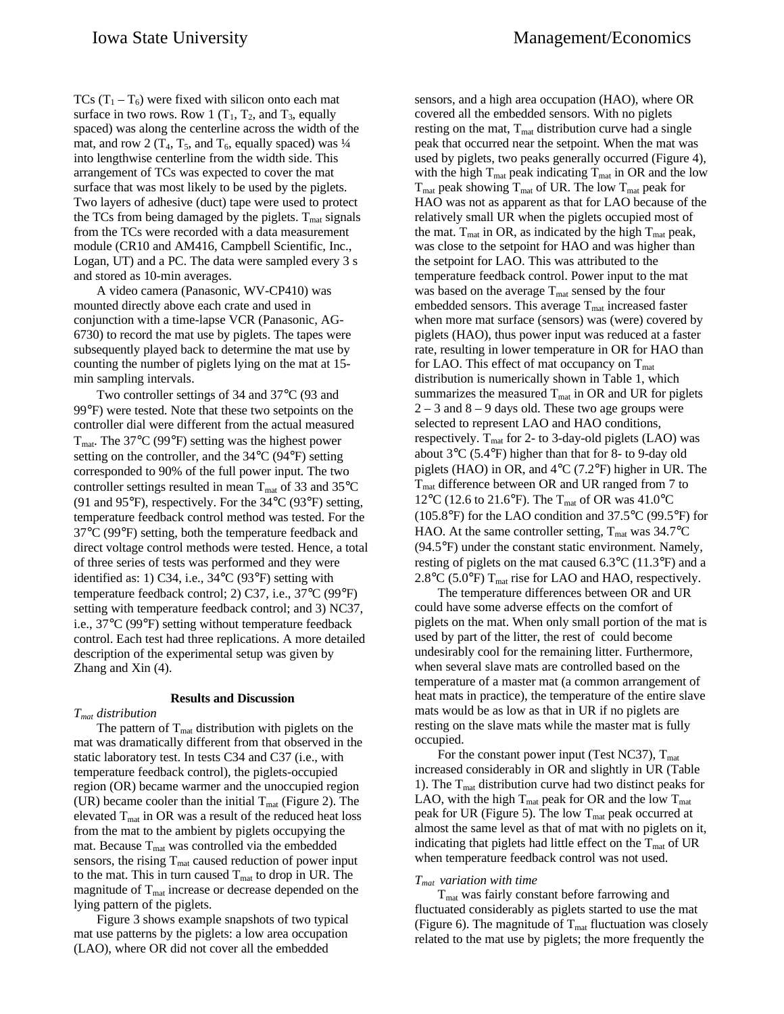TCs  $(T_1 - T_6)$  were fixed with silicon onto each mat surface in two rows. Row 1  $(T_1, T_2,$  and  $T_3$ , equally spaced) was along the centerline across the width of the mat, and row 2 ( $T_4$ ,  $T_5$ , and  $T_6$ , equally spaced) was  $\frac{1}{4}$ into lengthwise centerline from the width side. This arrangement of TCs was expected to cover the mat surface that was most likely to be used by the piglets. Two layers of adhesive (duct) tape were used to protect the TCs from being damaged by the piglets.  $T_{\text{mat}}$  signals from the TCs were recorded with a data measurement module (CR10 and AM416, Campbell Scientific, Inc., Logan, UT) and a PC. The data were sampled every 3 s and stored as 10-min averages.

A video camera (Panasonic, WV-CP410) was mounted directly above each crate and used in conjunction with a time-lapse VCR (Panasonic, AG-6730) to record the mat use by piglets. The tapes were subsequently played back to determine the mat use by counting the number of piglets lying on the mat at 15 min sampling intervals.

Two controller settings of 34 and 37°C (93 and 99°F) were tested. Note that these two setpoints on the controller dial were different from the actual measured  $T_{\text{mat}}$ . The 37°C (99°F) setting was the highest power setting on the controller, and the 34°C (94°F) setting corresponded to 90% of the full power input. The two controller settings resulted in mean  $T_{\text{mat}}$  of 33 and 35 $^{\circ}$ C (91 and 95°F), respectively. For the 34°C (93°F) setting, temperature feedback control method was tested. For the 37°C (99°F) setting, both the temperature feedback and direct voltage control methods were tested. Hence, a total of three series of tests was performed and they were identified as: 1) C34, i.e., 34°C (93°F) setting with temperature feedback control; 2) C37, i.e., 37°C (99°F) setting with temperature feedback control; and 3) NC37, i.e., 37°C (99°F) setting without temperature feedback control. Each test had three replications. A more detailed description of the experimental setup was given by Zhang and Xin (4).

#### **Results and Discussion**

#### *Tmat distribution*

The pattern of  $T_{\text{mat}}$  distribution with piglets on the mat was dramatically different from that observed in the static laboratory test. In tests C34 and C37 (i.e., with temperature feedback control), the piglets-occupied region (OR) became warmer and the unoccupied region (UR) became cooler than the initial  $T_{\text{mat}}$  (Figure 2). The elevated  $T_{\text{mat}}$  in OR was a result of the reduced heat loss from the mat to the ambient by piglets occupying the mat. Because  $T_{\text{mat}}$  was controlled via the embedded sensors, the rising  $T_{\text{mat}}$  caused reduction of power input to the mat. This in turn caused  $T_{\text{mat}}$  to drop in UR. The magnitude of  $T<sub>mat</sub>$  increase or decrease depended on the lying pattern of the piglets.

Figure 3 shows example snapshots of two typical mat use patterns by the piglets: a low area occupation (LAO), where OR did not cover all the embedded

sensors, and a high area occupation (HAO), where OR covered all the embedded sensors. With no piglets resting on the mat,  $T_{\text{mat}}$  distribution curve had a single peak that occurred near the setpoint. When the mat was used by piglets, two peaks generally occurred (Figure 4), with the high  $T_{\text{mat}}$  peak indicating  $T_{\text{mat}}$  in OR and the low  $T<sub>mat</sub>$  peak showing  $T<sub>mat</sub>$  of UR. The low  $T<sub>mat</sub>$  peak for HAO was not as apparent as that for LAO because of the relatively small UR when the piglets occupied most of the mat.  $T_{\text{mat}}$  in OR, as indicated by the high  $T_{\text{mat}}$  peak, was close to the setpoint for HAO and was higher than the setpoint for LAO. This was attributed to the temperature feedback control. Power input to the mat was based on the average  $T_{\text{mat}}$  sensed by the four embedded sensors. This average  $T_{\text{mat}}$  increased faster when more mat surface (sensors) was (were) covered by piglets (HAO), thus power input was reduced at a faster rate, resulting in lower temperature in OR for HAO than for LAO. This effect of mat occupancy on  $T<sub>mat</sub>$ distribution is numerically shown in Table 1, which summarizes the measured  $T_{\text{mat}}$  in OR and UR for piglets  $2 - 3$  and  $8 - 9$  days old. These two age groups were selected to represent LAO and HAO conditions, respectively.  $T_{\text{mat}}$  for 2- to 3-day-old piglets (LAO) was about 3°C (5.4°F) higher than that for 8- to 9-day old piglets (HAO) in OR, and 4°C (7.2°F) higher in UR. The T<sub>mat</sub> difference between OR and UR ranged from 7 to 12°C (12.6 to 21.6°F). The T<sub>mat</sub> of OR was 41.0°C (105.8°F) for the LAO condition and 37.5°C (99.5°F) for HAO. At the same controller setting,  $T_{\text{mat}}$  was 34.7°C (94.5°F) under the constant static environment. Namely, resting of piglets on the mat caused 6.3°C (11.3°F) and a  $2.8^{\circ}$ C (5.0°F) T<sub>mat</sub> rise for LAO and HAO, respectively.

The temperature differences between OR and UR could have some adverse effects on the comfort of piglets on the mat. When only small portion of the mat is used by part of the litter, the rest of could become undesirably cool for the remaining litter. Furthermore, when several slave mats are controlled based on the temperature of a master mat (a common arrangement of heat mats in practice), the temperature of the entire slave mats would be as low as that in UR if no piglets are resting on the slave mats while the master mat is fully occupied.

For the constant power input (Test NC37),  $T<sub>mat</sub>$ increased considerably in OR and slightly in UR (Table 1). The  $T<sub>mat</sub>$  distribution curve had two distinct peaks for LAO, with the high  $T_{\text{mat}}$  peak for OR and the low  $T_{\text{mat}}$ peak for UR (Figure 5). The low  $T_{\text{mat}}$  peak occurred at almost the same level as that of mat with no piglets on it, indicating that piglets had little effect on the  $T_{\text{mat}}$  of UR when temperature feedback control was not used.

#### *Tmat variation with time*

Tmat was fairly constant before farrowing and fluctuated considerably as piglets started to use the mat (Figure 6). The magnitude of  $T_{\text{mat}}$  fluctuation was closely related to the mat use by piglets; the more frequently the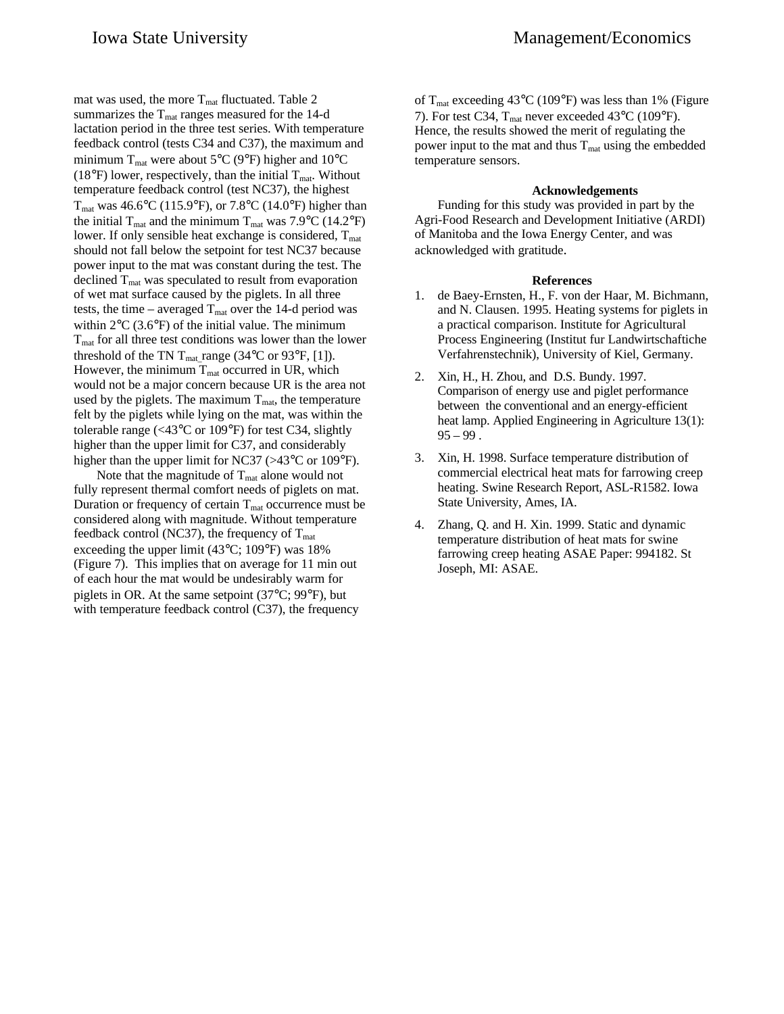mat was used, the more  $T_{\text{mat}}$  fluctuated. Table 2 summarizes the  $T_{\text{mat}}$  ranges measured for the 14-d lactation period in the three test series. With temperature feedback control (tests C34 and C37), the maximum and minimum  $T_{\text{mat}}$  were about 5°C (9°F) higher and 10°C (18°F) lower, respectively, than the initial  $T_{\text{mat}}$ . Without temperature feedback control (test NC37), the highest  $T_{\text{mat}}$  was 46.6°C (115.9°F), or 7.8°C (14.0°F) higher than

the initial  $T_{\text{mat}}$  and the minimum  $T_{\text{mat}}$  was 7.9°C (14.2°F) lower. If only sensible heat exchange is considered,  $T_{\text{mat}}$ should not fall below the setpoint for test NC37 because power input to the mat was constant during the test. The declined  $T<sub>mat</sub>$  was speculated to result from evaporation of wet mat surface caused by the piglets. In all three tests, the time – averaged  $T_{\text{mat}}$  over the 14-d period was within  $2^{\circ}$ C (3.6 $^{\circ}$ F) of the initial value. The minimum  $T<sub>mat</sub>$  for all three test conditions was lower than the lower threshold of the TN T<sub>mat\_</sub>range (34 $\degree$ C or 93 $\degree$ F, [1]). However, the minimum  $T_{\text{mat}}$  occurred in UR, which would not be a major concern because UR is the area not used by the piglets. The maximum  $T_{\text{mat}}$ , the temperature felt by the piglets while lying on the mat, was within the tolerable range (<43°C or 109°F) for test C34, slightly higher than the upper limit for C37, and considerably higher than the upper limit for NC37 (>43<sup>o</sup>C or 109<sup>o</sup>F).

Note that the magnitude of  $T_{\text{mat}}$  alone would not fully represent thermal comfort needs of piglets on mat. Duration or frequency of certain  $T_{\text{mat}}$  occurrence must be considered along with magnitude. Without temperature feedback control (NC37), the frequency of  $T_{\text{mat}}$ exceeding the upper limit (43°C; 109°F) was 18% (Figure 7). This implies that on average for 11 min out of each hour the mat would be undesirably warm for piglets in OR. At the same setpoint (37°C; 99°F), but with temperature feedback control (C37), the frequency

of  $T_{\text{mat}}$  exceeding 43<sup>o</sup>C (109<sup>o</sup>F) was less than 1% (Figure 7). For test C34,  $T_{\text{mat}}$  never exceeded 43°C (109°F). Hence, the results showed the merit of regulating the power input to the mat and thus  $T<sub>mat</sub>$  using the embedded temperature sensors.

#### **Acknowledgements**

Funding for this study was provided in part by the Agri-Food Research and Development Initiative (ARDI) of Manitoba and the Iowa Energy Center, and was acknowledged with gratitude.

## **References**

- 1. de Baey-Ernsten, H., F. von der Haar, M. Bichmann, and N. Clausen. 1995. Heating systems for piglets in a practical comparison. Institute for Agricultural Process Engineering (Institut fur Landwirtschaftiche Verfahrenstechnik), University of Kiel, Germany.
- 2. Xin, H., H. Zhou, and D.S. Bundy. 1997. Comparison of energy use and piglet performance between the conventional and an energy-efficient heat lamp. Applied Engineering in Agriculture 13(1):  $95 - 99$ .
- 3. Xin, H. 1998. Surface temperature distribution of commercial electrical heat mats for farrowing creep heating. Swine Research Report, ASL-R1582. Iowa State University, Ames, IA.
- 4. Zhang, Q. and H. Xin. 1999. Static and dynamic temperature distribution of heat mats for swine farrowing creep heating ASAE Paper: 994182. St Joseph, MI: ASAE.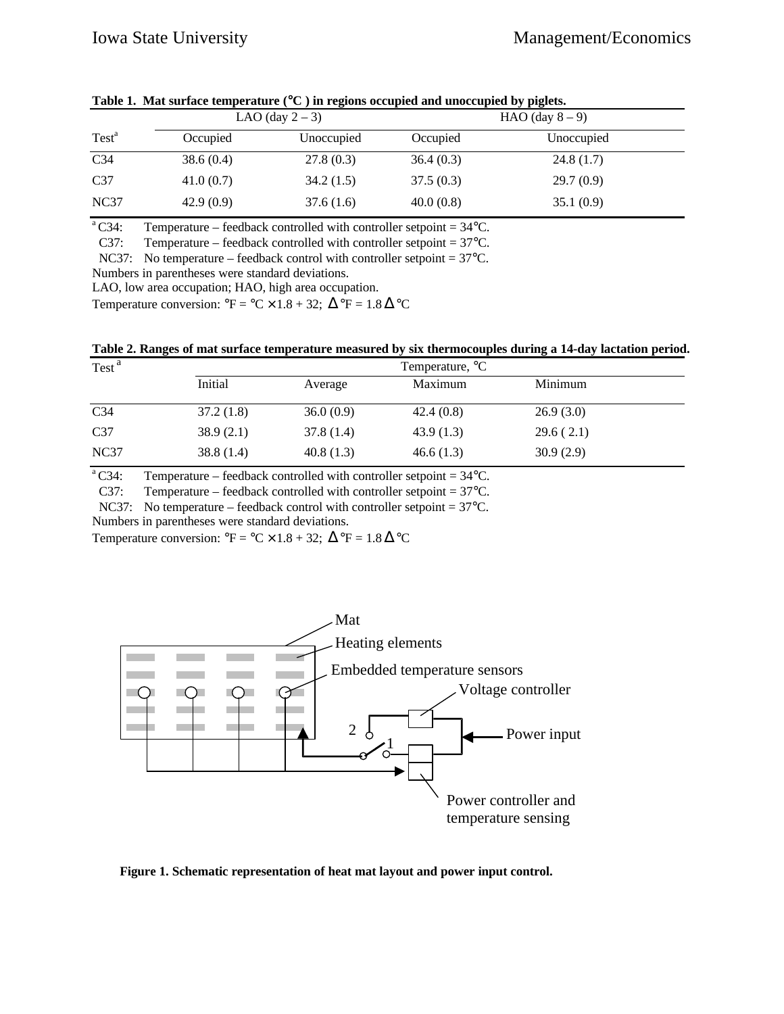|                   | LAO (day $2-3$ ) |            | HAO (day $8-9$ ) |            |  |  |  |  |
|-------------------|------------------|------------|------------------|------------|--|--|--|--|
| Test <sup>a</sup> | Occupied         | Unoccupied | Occupied         | Unoccupied |  |  |  |  |
| C <sub>34</sub>   | 38.6(0.4)        | 27.8(0.3)  | 36.4(0.3)        | 24.8(1.7)  |  |  |  |  |
| C <sub>37</sub>   | 41.0(0.7)        | 34.2(1.5)  | 37.5(0.3)        | 29.7(0.9)  |  |  |  |  |
| NC37              | 42.9(0.9)        | 37.6(1.6)  | 40.0(0.8)        | 35.1(0.9)  |  |  |  |  |

**Table 1. Mat surface temperature (**°**C ) in regions occupied and unoccupied by piglets.**

<sup>a</sup>C34: Temperature – feedback controlled with controller setpoint =  $34^{\circ}$ C.

C37: Temperature – feedback controlled with controller setpoint =  $37^{\circ}$ C.

NC37: No temperature – feedback control with controller setpoint = 37°C.

Numbers in parentheses were standard deviations.

LAO, low area occupation; HAO, high area occupation.

Temperature conversion:  ${}^{\circ}F = {}^{\circ}C \times 1.8 + 32$ ;  $\Delta {}^{\circ}F = 1.8 \Delta {}^{\circ}C$ 

**Table 2. Ranges of mat surface temperature measured by six thermocouples during a 14-day lactation period.**

| Test <sup>a</sup> | Temperature, <sup>o</sup> C |           |           |           |  |  |
|-------------------|-----------------------------|-----------|-----------|-----------|--|--|
|                   | Initial                     | Average   | Maximum   | Minimum   |  |  |
| C <sub>34</sub>   | 37.2(1.8)                   | 36.0(0.9) | 42.4(0.8) | 26.9(3.0) |  |  |
| C <sub>37</sub>   | 38.9(2.1)                   | 37.8(1.4) | 43.9(1.3) | 29.6(2.1) |  |  |
| NC <sub>37</sub>  | 38.8(1.4)                   | 40.8(1.3) | 46.6(1.3) | 30.9(2.9) |  |  |

<sup>a</sup>C34: Temperature – feedback controlled with controller setpoint =  $34^{\circ}$ C.

C37: Temperature – feedback controlled with controller setpoint =  $37^{\circ}$ C.

NC37: No temperature – feedback control with controller setpoint = 37°C.

Numbers in parentheses were standard deviations.

Temperature conversion:  ${}^{\circ}$ F =  ${}^{\circ}$ C × 1.8 + 32;  $\Delta {}^{\circ}$ F = 1.8  $\Delta {}^{\circ}$ C



**Figure 1. Schematic representation of heat mat layout and power input control.**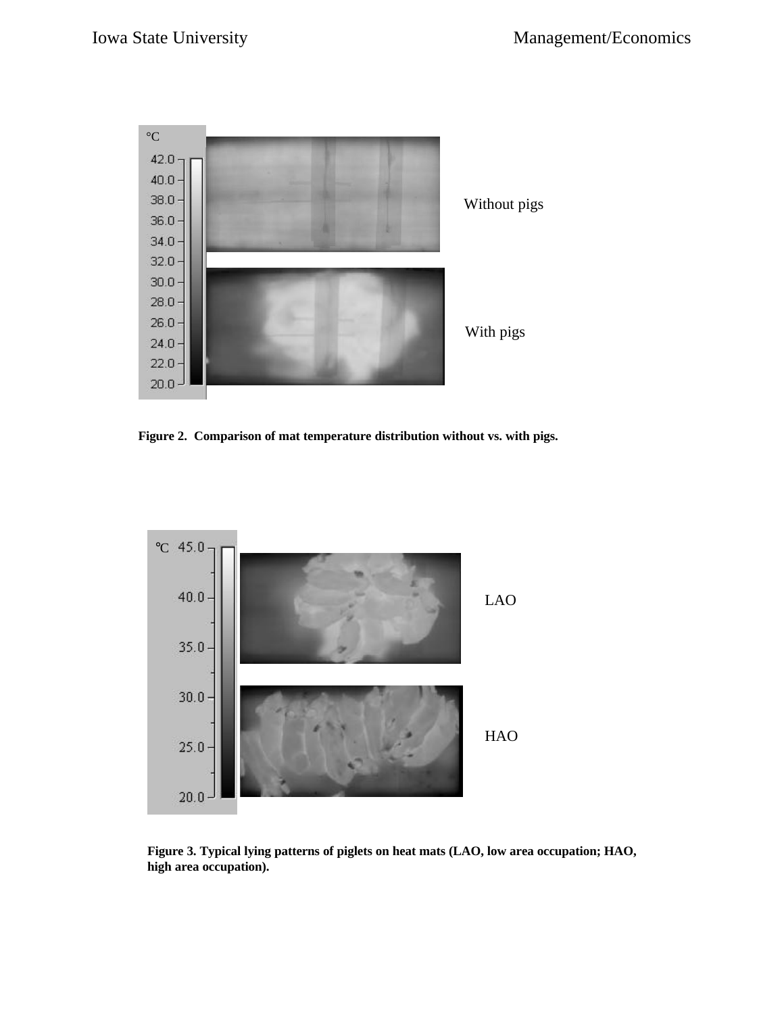

**Figure 2. Comparison of mat temperature distribution without vs. with pigs.**



**Figure 3. Typical lying patterns of piglets on heat mats (LAO, low area occupation; HAO, high area occupation).**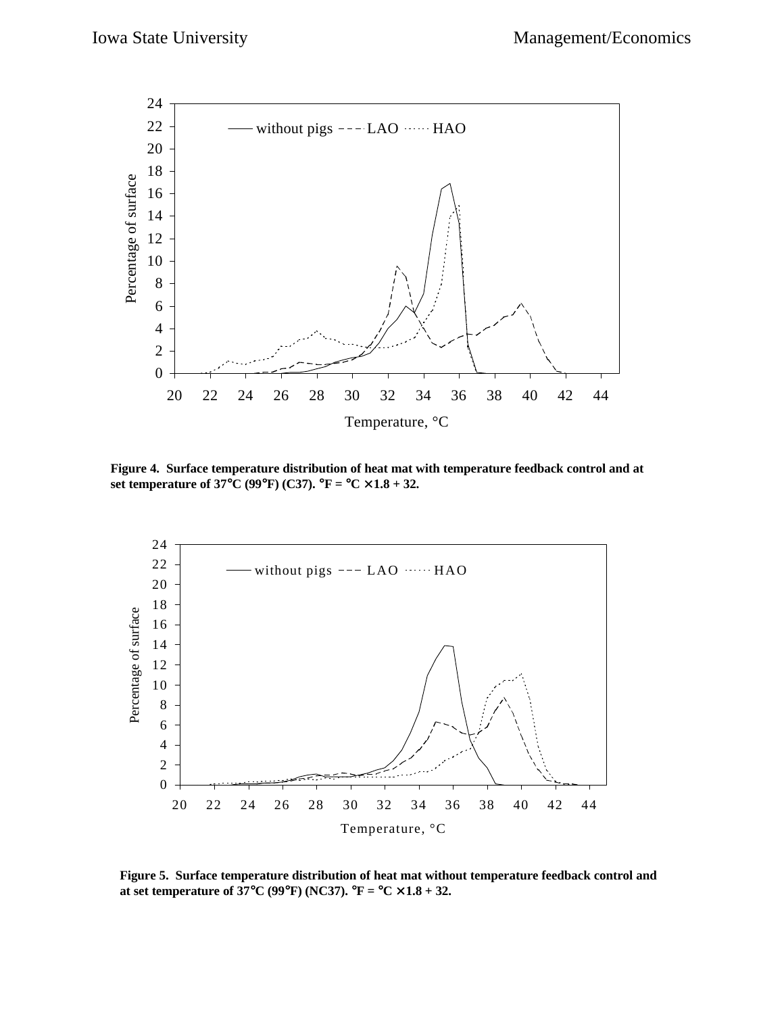

**Figure 4. Surface temperature distribution of heat mat with temperature feedback control and at set temperature of 37**°**C (99**°**F) (C37).** °**F =** °**C** × **1.8 + 32.**



**Figure 5. Surface temperature distribution of heat mat without temperature feedback control and at set temperature of 37°C (99°F) (NC37).**  ${}^{\circ}$ **F =**  ${}^{\circ}$ **C**  $\times$  **1.8 + 32.**